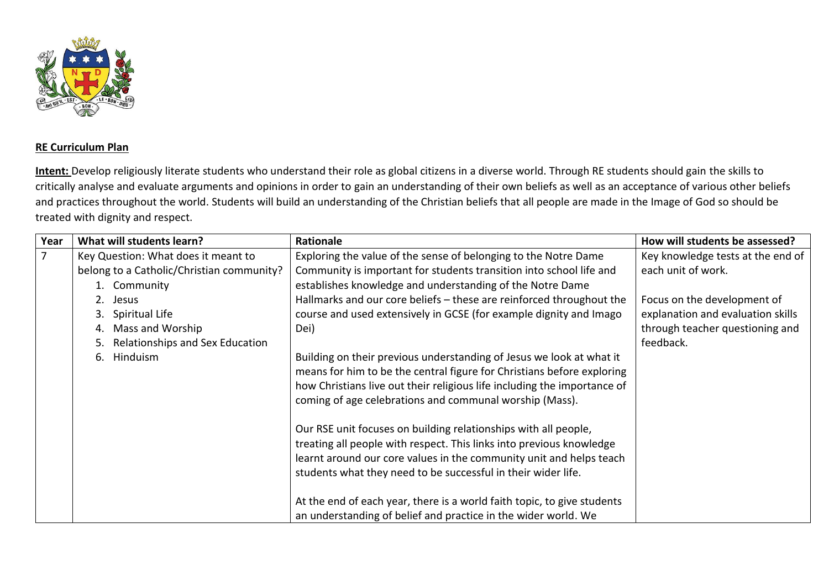

## **RE Curriculum Plan**

**Intent:** Develop religiously literate students who understand their role as global citizens in a diverse world. Through RE students should gain the skills to critically analyse and evaluate arguments and opinions in order to gain an understanding of their own beliefs as well as an acceptance of various other beliefs and practices throughout the world. Students will build an understanding of the Christian beliefs that all people are made in the Image of God so should be treated with dignity and respect.

| Year           | What will students learn?                 | Rationale                                                                | How will students be assessed?    |
|----------------|-------------------------------------------|--------------------------------------------------------------------------|-----------------------------------|
| $\overline{7}$ | Key Question: What does it meant to       | Exploring the value of the sense of belonging to the Notre Dame          | Key knowledge tests at the end of |
|                | belong to a Catholic/Christian community? | Community is important for students transition into school life and      | each unit of work.                |
|                | 1. Community                              | establishes knowledge and understanding of the Notre Dame                |                                   |
|                | 2. Jesus                                  | Hallmarks and our core beliefs – these are reinforced throughout the     | Focus on the development of       |
|                | Spiritual Life<br>3.                      | course and used extensively in GCSE (for example dignity and Imago       | explanation and evaluation skills |
|                | Mass and Worship                          | Dei)                                                                     | through teacher questioning and   |
|                | Relationships and Sex Education           |                                                                          | feedback.                         |
|                | Hinduism<br>6.                            | Building on their previous understanding of Jesus we look at what it     |                                   |
|                |                                           | means for him to be the central figure for Christians before exploring   |                                   |
|                |                                           | how Christians live out their religious life including the importance of |                                   |
|                |                                           | coming of age celebrations and communal worship (Mass).                  |                                   |
|                |                                           | Our RSE unit focuses on building relationships with all people,          |                                   |
|                |                                           | treating all people with respect. This links into previous knowledge     |                                   |
|                |                                           | learnt around our core values in the community unit and helps teach      |                                   |
|                |                                           | students what they need to be successful in their wider life.            |                                   |
|                |                                           |                                                                          |                                   |
|                |                                           | At the end of each year, there is a world faith topic, to give students  |                                   |
|                |                                           | an understanding of belief and practice in the wider world. We           |                                   |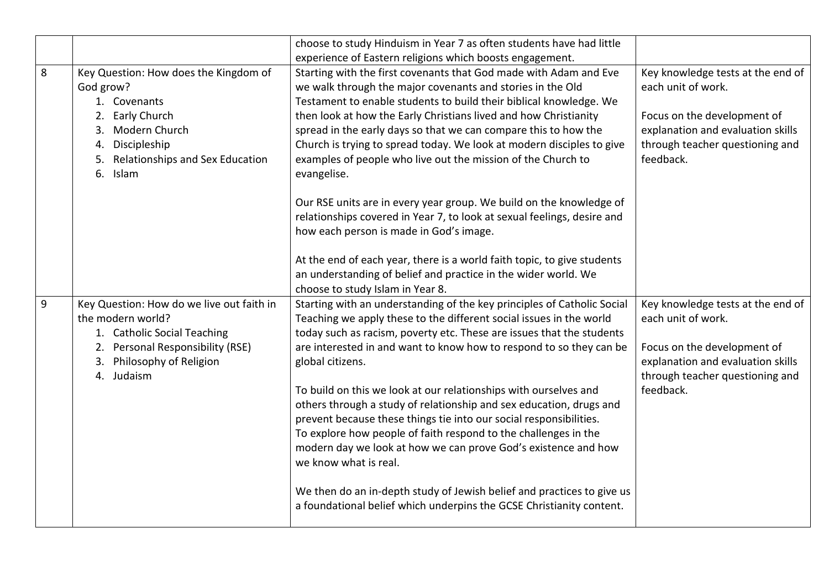|   |                                                                                                                                                                                                      | choose to study Hinduism in Year 7 as often students have had little<br>experience of Eastern religions which boosts engagement.                                                                                                                                                                                                                                                                                                                                                                                                                                                                                                                                                                                                                                                                                                                    |                                                                                                                                                                             |
|---|------------------------------------------------------------------------------------------------------------------------------------------------------------------------------------------------------|-----------------------------------------------------------------------------------------------------------------------------------------------------------------------------------------------------------------------------------------------------------------------------------------------------------------------------------------------------------------------------------------------------------------------------------------------------------------------------------------------------------------------------------------------------------------------------------------------------------------------------------------------------------------------------------------------------------------------------------------------------------------------------------------------------------------------------------------------------|-----------------------------------------------------------------------------------------------------------------------------------------------------------------------------|
| 8 | Key Question: How does the Kingdom of<br>God grow?<br>1. Covenants<br><b>Early Church</b><br>2.<br>Modern Church<br>3.<br>Discipleship<br>4.<br>Relationships and Sex Education<br>5.<br>6.<br>Islam | Starting with the first covenants that God made with Adam and Eve<br>we walk through the major covenants and stories in the Old<br>Testament to enable students to build their biblical knowledge. We<br>then look at how the Early Christians lived and how Christianity<br>spread in the early days so that we can compare this to how the<br>Church is trying to spread today. We look at modern disciples to give<br>examples of people who live out the mission of the Church to<br>evangelise.                                                                                                                                                                                                                                                                                                                                                | Key knowledge tests at the end of<br>each unit of work.<br>Focus on the development of<br>explanation and evaluation skills<br>through teacher questioning and<br>feedback. |
|   |                                                                                                                                                                                                      | Our RSE units are in every year group. We build on the knowledge of<br>relationships covered in Year 7, to look at sexual feelings, desire and<br>how each person is made in God's image.<br>At the end of each year, there is a world faith topic, to give students<br>an understanding of belief and practice in the wider world. We<br>choose to study Islam in Year 8.                                                                                                                                                                                                                                                                                                                                                                                                                                                                          |                                                                                                                                                                             |
| 9 | Key Question: How do we live out faith in<br>the modern world?<br>1. Catholic Social Teaching<br>2. Personal Responsibility (RSE)<br>3. Philosophy of Religion<br>4. Judaism                         | Starting with an understanding of the key principles of Catholic Social<br>Teaching we apply these to the different social issues in the world<br>today such as racism, poverty etc. These are issues that the students<br>are interested in and want to know how to respond to so they can be<br>global citizens.<br>To build on this we look at our relationships with ourselves and<br>others through a study of relationship and sex education, drugs and<br>prevent because these things tie into our social responsibilities.<br>To explore how people of faith respond to the challenges in the<br>modern day we look at how we can prove God's existence and how<br>we know what is real.<br>We then do an in-depth study of Jewish belief and practices to give us<br>a foundational belief which underpins the GCSE Christianity content. | Key knowledge tests at the end of<br>each unit of work.<br>Focus on the development of<br>explanation and evaluation skills<br>through teacher questioning and<br>feedback. |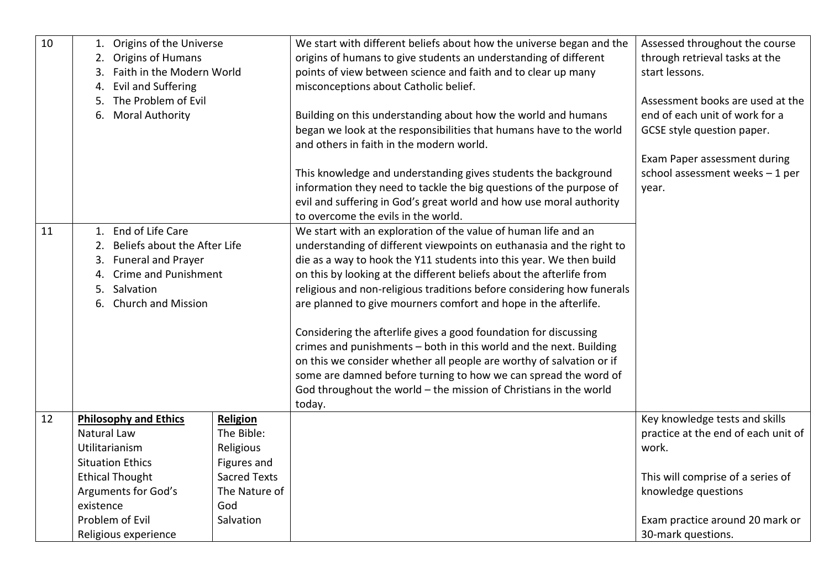| 10 | 1. Origins of the Universe         |                     | We start with different beliefs about how the universe began and the   | Assessed throughout the course      |
|----|------------------------------------|---------------------|------------------------------------------------------------------------|-------------------------------------|
|    | 2. Origins of Humans               |                     | origins of humans to give students an understanding of different       | through retrieval tasks at the      |
|    | Faith in the Modern World<br>3.    |                     | points of view between science and faith and to clear up many          | start lessons.                      |
|    | <b>Evil and Suffering</b><br>4.    |                     | misconceptions about Catholic belief.                                  |                                     |
|    | The Problem of Evil<br>5.          |                     |                                                                        | Assessment books are used at the    |
|    | 6.<br><b>Moral Authority</b>       |                     | Building on this understanding about how the world and humans          | end of each unit of work for a      |
|    |                                    |                     | began we look at the responsibilities that humans have to the world    | GCSE style question paper.          |
|    |                                    |                     | and others in faith in the modern world.                               |                                     |
|    |                                    |                     |                                                                        | Exam Paper assessment during        |
|    |                                    |                     | This knowledge and understanding gives students the background         | school assessment weeks - 1 per     |
|    |                                    |                     | information they need to tackle the big questions of the purpose of    | year.                               |
|    |                                    |                     | evil and suffering in God's great world and how use moral authority    |                                     |
|    |                                    |                     | to overcome the evils in the world.                                    |                                     |
| 11 | 1. End of Life Care                |                     | We start with an exploration of the value of human life and an         |                                     |
|    | Beliefs about the After Life<br>2. |                     | understanding of different viewpoints on euthanasia and the right to   |                                     |
|    | 3. Funeral and Prayer              |                     | die as a way to hook the Y11 students into this year. We then build    |                                     |
|    | <b>Crime and Punishment</b><br>4.  |                     | on this by looking at the different beliefs about the afterlife from   |                                     |
|    | 5. Salvation                       |                     | religious and non-religious traditions before considering how funerals |                                     |
|    | 6. Church and Mission              |                     | are planned to give mourners comfort and hope in the afterlife.        |                                     |
|    |                                    |                     |                                                                        |                                     |
|    |                                    |                     | Considering the afterlife gives a good foundation for discussing       |                                     |
|    |                                    |                     | crimes and punishments - both in this world and the next. Building     |                                     |
|    |                                    |                     | on this we consider whether all people are worthy of salvation or if   |                                     |
|    |                                    |                     | some are damned before turning to how we can spread the word of        |                                     |
|    |                                    |                     | God throughout the world - the mission of Christians in the world      |                                     |
|    |                                    |                     | today.                                                                 |                                     |
| 12 | <b>Philosophy and Ethics</b>       | Religion            |                                                                        | Key knowledge tests and skills      |
|    | Natural Law                        | The Bible:          |                                                                        | practice at the end of each unit of |
|    | Utilitarianism                     | Religious           |                                                                        | work.                               |
|    | <b>Situation Ethics</b>            | Figures and         |                                                                        |                                     |
|    | <b>Ethical Thought</b>             | <b>Sacred Texts</b> |                                                                        | This will comprise of a series of   |
|    | <b>Arguments for God's</b>         | The Nature of       |                                                                        | knowledge questions                 |
|    | existence                          | God                 |                                                                        |                                     |
|    | Problem of Evil                    | Salvation           |                                                                        | Exam practice around 20 mark or     |
|    | Religious experience               |                     |                                                                        | 30-mark questions.                  |